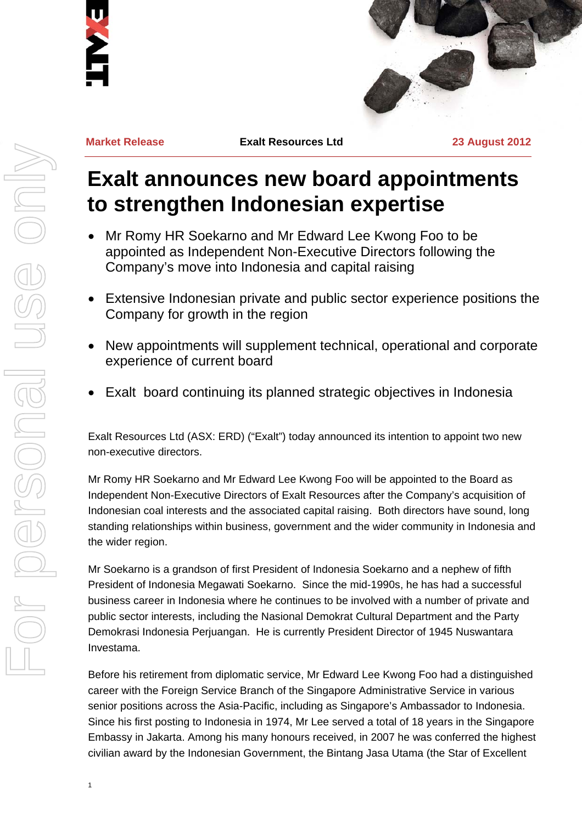



**Market Release Exalt Resources Ltd 23 August 2012**

## **Exalt announces new board appointments to strengthen Indonesian expertise**

- Mr Romy HR Soekarno and Mr Edward Lee Kwong Foo to be appointed as Independent Non-Executive Directors following the Company's move into Indonesia and capital raising
- Extensive Indonesian private and public sector experience positions the Company for growth in the region
- New appointments will supplement technical, operational and corporate experience of current board
- Exalt board continuing its planned strategic objectives in Indonesia

Exalt Resources Ltd (ASX: ERD) ("Exalt") today announced its intention to appoint two new non-executive directors.

Mr Romy HR Soekarno and Mr Edward Lee Kwong Foo will be appointed to the Board as Independent Non-Executive Directors of Exalt Resources after the Company's acquisition of Indonesian coal interests and the associated capital raising. Both directors have sound, long standing relationships within business, government and the wider community in Indonesia and the wider region.

Mr Soekarno is a grandson of first President of Indonesia Soekarno and a nephew of fifth President of Indonesia Megawati Soekarno. Since the mid-1990s, he has had a successful business career in Indonesia where he continues to be involved with a number of private and public sector interests, including the Nasional Demokrat Cultural Department and the Party Demokrasi Indonesia Perjuangan. He is currently President Director of 1945 Nuswantara Investama.

Before his retirement from diplomatic service, Mr Edward Lee Kwong Foo had a distinguished career with the Foreign Service Branch of the Singapore Administrative Service in various senior positions across the Asia-Pacific, including as Singapore's Ambassador to Indonesia. Since his first posting to Indonesia in 1974, Mr Lee served a total of 18 years in the Singapore Embassy in Jakarta. Among his many honours received, in 2007 he was conferred the highest civilian award by the Indonesian Government, the Bintang Jasa Utama (the Star of Excellent